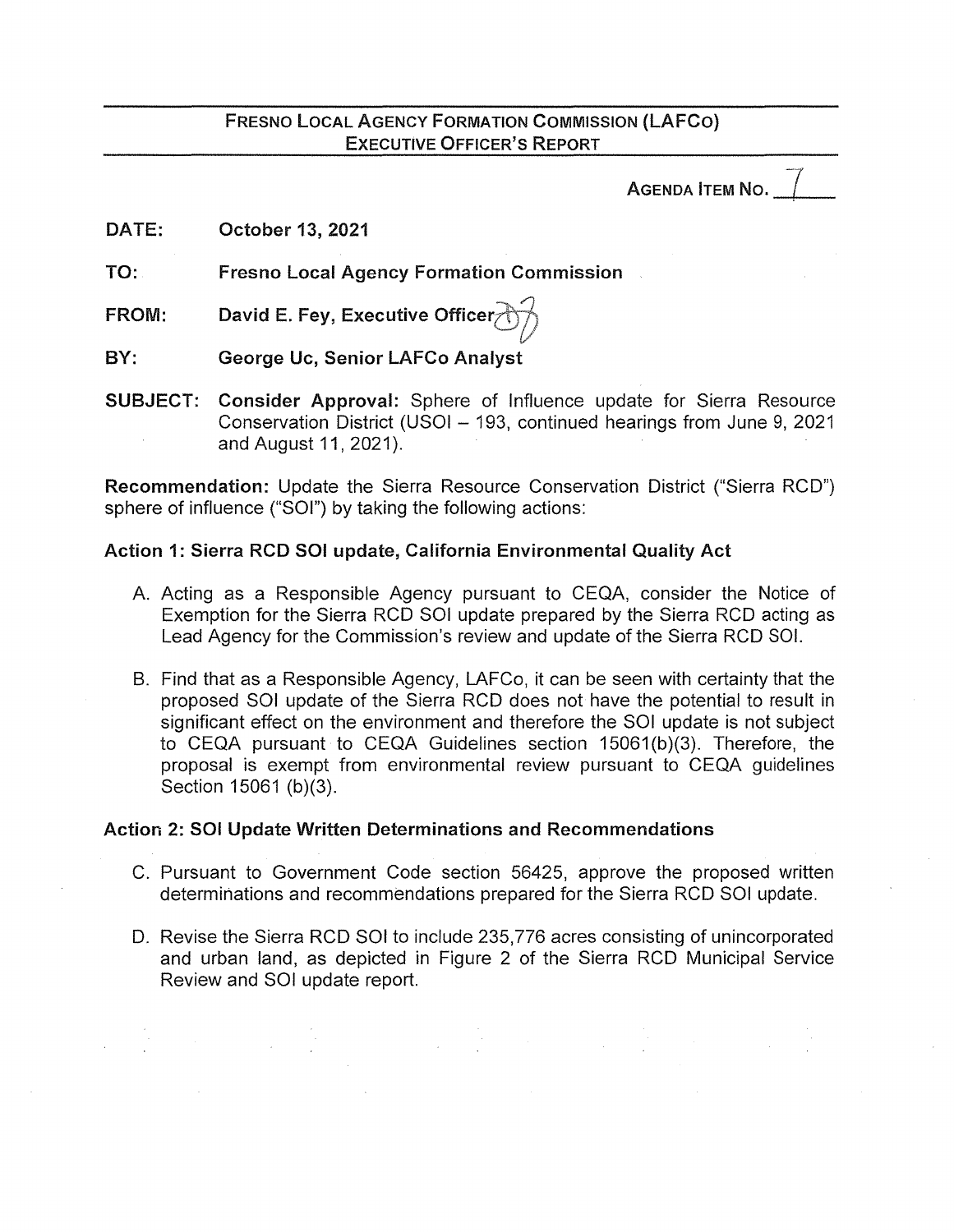# FRESNO LOCAL AGENCY FORMATION COMMISSION (LAFCO) EXECUTIVE OFFICER'S REPORT

AGENDA **ITEM NO.** 

DATE: October 13, 2021

TO: Fresno Local Agency Formation Commission

FROM: David E. Fey, Executive Officer $\rightarrow$ 

BY: George Uc, Senior LAFCo Analyst

SUBJECT: Consider Approval: Sphere of Influence update for Sierra Resource Conservation District (USOI - 193, continued hearings from June 9, 2021 and August 11, 2021).

Recommendation: Update the Sierra Resource Conservation District ("Sierra RCD") sphere of influence ("SOI") by taking the following actions:

# Action 1: Sierra RCD SOI update, California Environmental Quality Act

- A. Acting as a Responsible Agency pursuant to CEQA, consider the Notice of Exemption for the Sierra RCD SOI update prepared by the Sierra RCD acting as Lead Agency for the Commission's review and update of the Sierra RCD SOI.
- B. Find that as a Responsible Agency, LAFCo, it can be seen with certainty that the proposed SOI update of the Sierra RCD does not have the potential to result in significant effect on the environment and therefore the SOI update is not subject to CEQA pursuant to CEQA Guidelines section 15061(b)(3). Therefore, the proposal is exempt from environmental review pursuant to CEQA guidelines Section 15061 (b)(3}.

# Action 2: SOI Update Written Determinations and Recommendations

- C. Pursuant to Government Code section 56425, approve the proposed written determinations and recommendations prepared for the Sierra RCD SOI update.
- D. Revise the Sierra RCD SOI to include 235,776 acres consisting of unincorporated and urban land, as depicted in Figure 2 of the Sierra RCD Municipal Service Review and SOI update report.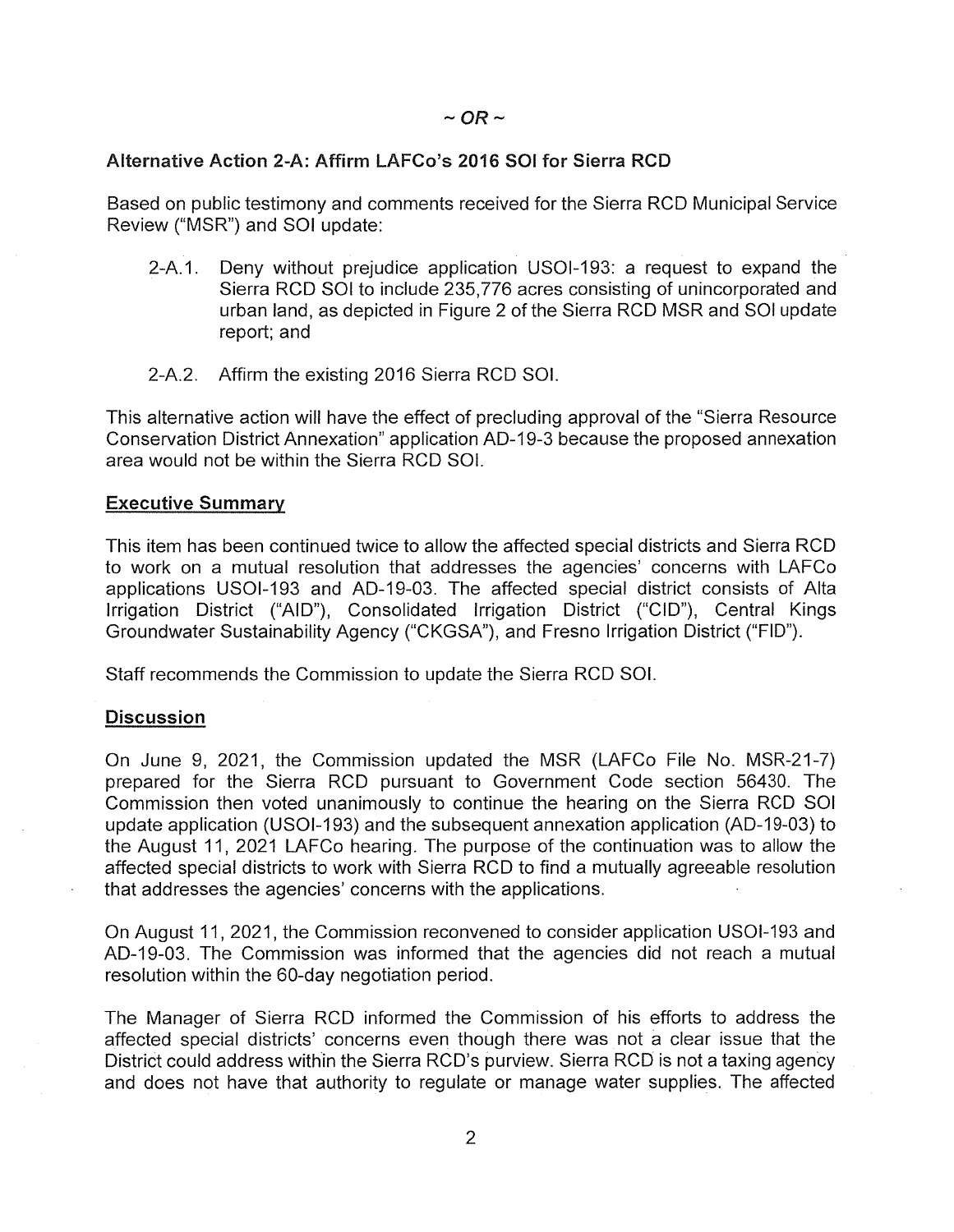# Alternative Action 2-A: Affirm LAFCo's 2016 SOI for Sierra RCD

Based on public testimony and comments received for the Sierra RCD Municipal Service Review ("MSR") and SOI update:

- 2-A.1. Deny without prejudice application USOl-193: a request to expand the Sierra RCD SOI to include 235,776 acres consisting of unincorporated and urban land, as depicted in Figure 2 of the Sierra RCD MSR and SOI update report; and
- 2-A.2. Affirm the existing 2016 Sierra RCD SOI.

This alternative action will have the effect of precluding approval of the "Sierra Resource Conservation District Annexation" application AD-19-3 because the proposed annexation area would not be within the Sierra RCD SOI.

#### **Executive Summary**

This item has been continued twice to allow the affected special districts and Sierra RCD to work on a mutual resolution that addresses the agencies' concerns with LAFCo applications USOl-193 and AD-19-03. The affected special district consists of Alta Irrigation District ("AID"), Consolidated Irrigation District ("CID"), Central Kings Groundwater Sustainability Agency ("CKGSA"), and Fresno Irrigation District ("FID").

Staff recommends the Commission to update the Sierra RCD SOI.

# **Discussion**

On June 9, 2021, the Commission updated the MSR (LAFCo File No. MSR-21-7) prepared for the Sierra RCD pursuant to Government Code section 56430. The Commission then voted unanimously to continue the hearing on the Sierra RCD SOI update application (USOl-193) and the subsequent annexation application (AD-19-03) to the August 11, 2021 LAFCo hearing. The purpose of the continuation was to allow the affected special districts to work with Sierra RCD to find a mutually agreeable resolution that addresses the agencies' concerns with the applications.

On August 11, 2021, the Commission reconvened to consider application USOl-193 and AD-19-03. The Commission was informed that the agencies did not reach a mutual resolution within the 60-day negotiation period.

The Manager of Sierra RCD informed the Commission of his efforts to address the affected special districts' concerns even though there was not a clear issue that the District could address within the Sierra RCD's purview. Sierra RCD is not a taxing agency and does not have that authority to regulate or manage water supplies. The affected